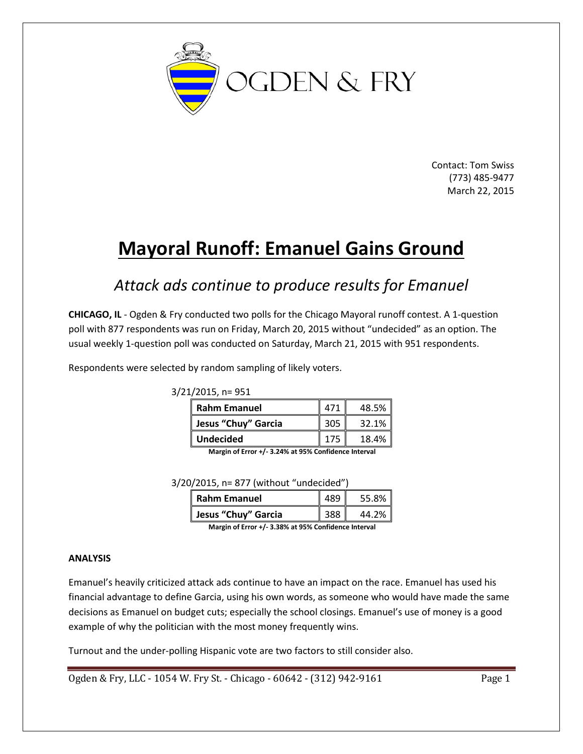

Contact: Tom Swiss (773) 485-9477 March 22, 2015

# **Mayoral Runoff: Emanuel Gains Ground**

# *Attack ads continue to produce results for Emanuel*

**CHICAGO, IL** - Ogden & Fry conducted two polls for the Chicago Mayoral runoff contest. A 1-question poll with 877 respondents was run on Friday, March 20, 2015 without "undecided" as an option. The usual weekly 1-question poll was conducted on Saturday, March 21, 2015 with 951 respondents.

Respondents were selected by random sampling of likely voters.

3/21/2015, n= 951

| <b>Rahm Emanuel</b> | 471  | 48.5% |
|---------------------|------|-------|
| Jesus "Chuy" Garcia | -305 | 32.1% |
| <b>Undecided</b>    |      | 18.4% |

**Margin of Error +/- 3.24% at 95% Confidence Interval** 

3/20/2015, n= 877 (without "undecided")

| <b>Rahm Emanuel</b> | 489 | $\mathsf{I}$<br>55.8% |
|---------------------|-----|-----------------------|
| Jesus "Chuy" Garcia | 388 | I<br>44.2%            |

**Margin of Error +/- 3.38% at 95% Confidence Interval** 

#### **ANALYSIS**

Emanuel's heavily criticized attack ads continue to have an impact on the race. Emanuel has used his financial advantage to define Garcia, using his own words, as someone who would have made the same decisions as Emanuel on budget cuts; especially the school closings. Emanuel's use of money is a good example of why the politician with the most money frequently wins.

Turnout and the under-polling Hispanic vote are two factors to still consider also.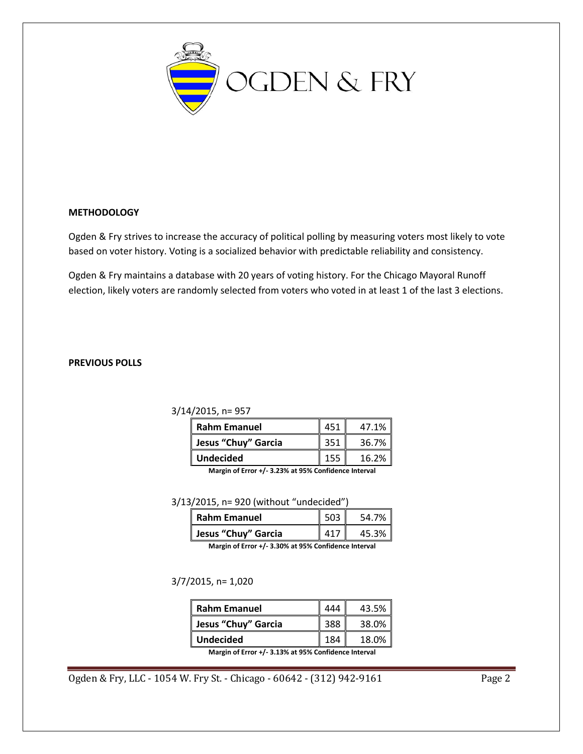

#### **METHODOLOGY**

Ogden & Fry strives to increase the accuracy of political polling by measuring voters most likely to vote based on voter history. Voting is a socialized behavior with predictable reliability and consistency.

Ogden & Fry maintains a database with 20 years of voting history. For the Chicago Mayoral Runoff election, likely voters are randomly selected from voters who voted in at least 1 of the last 3 elections.

#### **PREVIOUS POLLS**

#### 3/14/2015, n= 957

| <b>Rahm Emanuel</b> | 451 | 47.1% |
|---------------------|-----|-------|
| Jesus "Chuy" Garcia | 351 | 36.7% |
| <b>Undecided</b>    |     | 16.2% |

**Margin of Error +/- 3.23% at 95% Confidence Interval** 

3/13/2015, n= 920 (without "undecided")

| Rahm Emanuel        | 503 <sub>1</sub> | 54.7% |
|---------------------|------------------|-------|
| Jesus "Chuy" Garcia | 117              | 45.3% |

**Margin of Error +/- 3.30% at 95% Confidence Interval** 

#### 3/7/2015, n= 1,020

| <b>Rahm Emanuel</b> |     | 43.5% |
|---------------------|-----|-------|
| Jesus "Chuy" Garcia | 388 | 38.0% |
| <b>Undecided</b>    |     | 18.0% |

**Margin of Error +/- 3.13% at 95% Confidence Interval**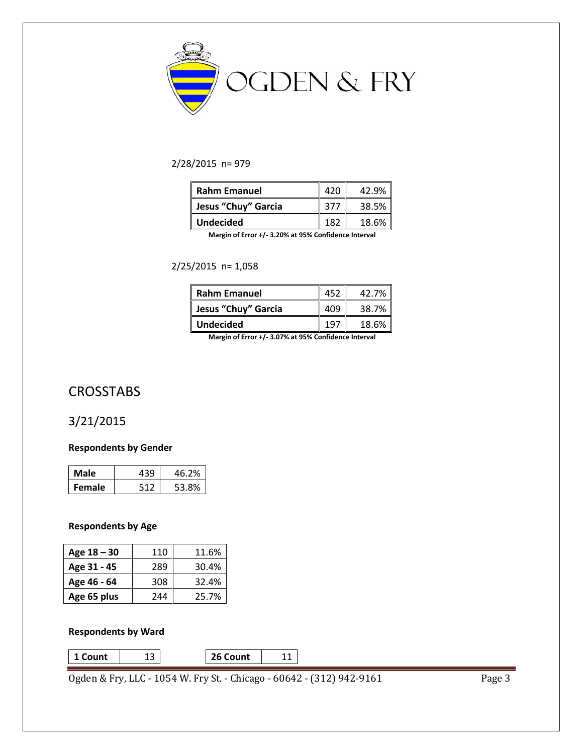

#### 2/28/2015 n= 979

| <b>Rahm Emanuel</b> | 420  | 42.9% |
|---------------------|------|-------|
| Jesus "Chuy" Garcia | -377 | 38.5% |
| <b>Undecided</b>    | 187  | 18.6% |

**Margin of Error +/- 3.20% at 95% Confidence Interval** 

2/25/2015 n= 1,058

| <b>Rahm Emanuel</b> | 452   | 42.7% |
|---------------------|-------|-------|
| Jesus "Chuy" Garcia | 409   | 38.7% |
| <b>Undecided</b>    | 1 Q T | 18.6% |

**Margin of Error +/- 3.07% at 95% Confidence Interval** 

# **CROSSTABS**

### 3/21/2015

#### **Respondents by Gender**

| Male          | 430. | 46.2% |
|---------------|------|-------|
| <b>Female</b> |      | 53.8% |

#### **Respondents by Age**

| Age $18 - 30$ | 110 | 11.6% |
|---------------|-----|-------|
| Age 31 - 45   | 289 | 30.4% |
| Age 46 - 64   | 308 | 32.4% |
| Age 65 plus   | 244 | 25.7% |

#### **Respondents by Ward**

**1 Count** 13 **26 Count** 11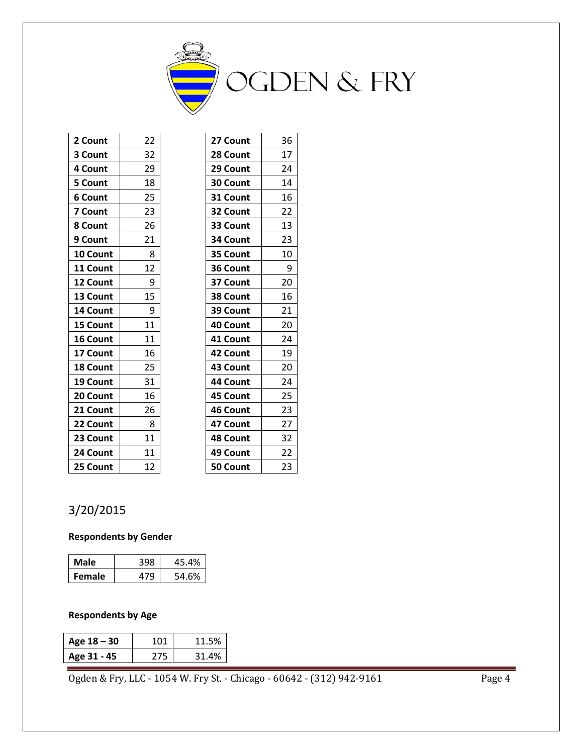

| 2 Count        | 22 | 27 Count        | 36 |
|----------------|----|-----------------|----|
| 3 Count        | 32 | 28 Count        | 17 |
| 4 Count        | 29 | 29 Count        | 24 |
| 5 Count        | 18 | 30 Count        | 14 |
| <b>6 Count</b> | 25 | 31 Count        | 16 |
| 7 Count        | 23 | 32 Count        | 22 |
| 8 Count        | 26 | 33 Count        | 13 |
| 9 Count        | 21 | 34 Count        | 23 |
| 10 Count       | 8  | 35 Count        | 10 |
| 11 Count       | 12 | 36 Count        | 9  |
| 12 Count       | 9  | 37 Count        | 20 |
| 13 Count       | 15 | 38 Count        | 16 |
| 14 Count       | 9  | 39 Count        | 21 |
| 15 Count       | 11 | 40 Count        | 20 |
| 16 Count       | 11 | 41 Count        | 24 |
| 17 Count       | 16 | 42 Count        | 19 |
| 18 Count       | 25 | 43 Count        | 20 |
| 19 Count       | 31 | 44 Count        | 24 |
| 20 Count       | 16 | 45 Count        | 25 |
| 21 Count       | 26 | 46 Count        | 23 |
| 22 Count       | 8  | 47 Count        | 27 |
| 23 Count       | 11 | <b>48 Count</b> | 32 |
| 24 Count       | 11 | 49 Count        | 22 |
| 25 Count       | 12 | 50 Count        | 23 |

# 3/20/2015

#### **Respondents by Gender**

| Male          | 398 | 45.4% |
|---------------|-----|-------|
| <b>Female</b> | 17Q | 54.6% |

#### **Respondents by Age**

| Age $18 - 30$ | 1 N 1 | 11.5% |
|---------------|-------|-------|
| Age 31 - 45   | 275   | 31.4% |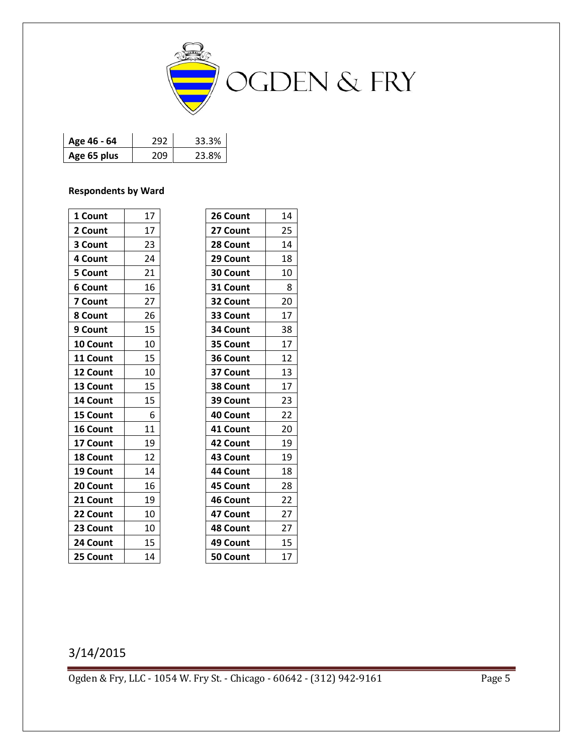

| Age 46 - 64 | 292 | 33.3% |
|-------------|-----|-------|
| Age 65 plus | 209 | 23.8% |

#### **Respondents by Ward**

| 1 Count  | 17 | 26 Count        | 14 |
|----------|----|-----------------|----|
| 2 Count  | 17 | 27 Count        | 25 |
| 3 Count  | 23 | 28 Count        | 14 |
| 4 Count  | 24 | 29 Count        | 18 |
| 5 Count  | 21 | 30 Count        | 10 |
| 6 Count  | 16 | 31 Count        | 8  |
| 7 Count  | 27 | 32 Count        | 20 |
| 8 Count  | 26 | 33 Count        | 17 |
| 9 Count  | 15 | 34 Count        | 38 |
| 10 Count | 10 | 35 Count        | 17 |
| 11 Count | 15 | 36 Count        | 12 |
| 12 Count | 10 | 37 Count        | 13 |
| 13 Count | 15 | 38 Count        | 17 |
| 14 Count | 15 | 39 Count        | 23 |
| 15 Count | 6  | 40 Count        | 22 |
| 16 Count | 11 | 41 Count        | 20 |
| 17 Count | 19 | 42 Count        | 19 |
| 18 Count | 12 | 43 Count        | 19 |
| 19 Count | 14 | 44 Count        | 18 |
| 20 Count | 16 | 45 Count        | 28 |
| 21 Count | 19 | 46 Count        | 22 |
| 22 Count | 10 | 47 Count        | 27 |
| 23 Count | 10 | <b>48 Count</b> | 27 |
| 24 Count | 15 | 49 Count        | 15 |
| 25 Count | 14 | 50 Count        | 17 |

# 3/14/2015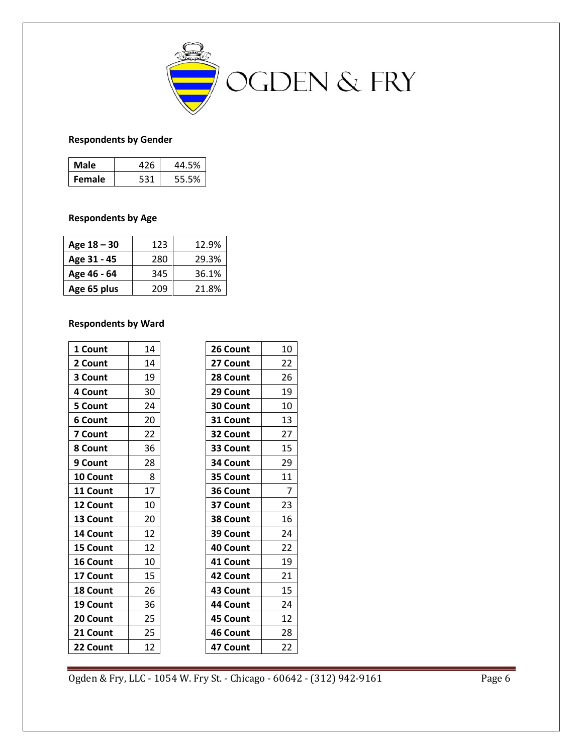

#### **Respondents by Gender**

| Male          | 426 | 44.5% |
|---------------|-----|-------|
| <b>Female</b> | 531 | 55.5% |

#### **Respondents by Age**

| Age 18 - 30 | 123 | 12.9% |
|-------------|-----|-------|
| Age 31 - 45 | 280 | 29.3% |
| Age 46 - 64 | 345 | 36.1% |
| Age 65 plus | 209 | 21.8% |

#### **Respondents by Ward**

| 1 Count         | 14 | 26 Count | 10 |
|-----------------|----|----------|----|
| 2 Count         | 14 | 27 Count | 22 |
| 3 Count         | 19 | 28 Count | 26 |
| 4 Count         | 30 | 29 Count | 19 |
| 5 Count         | 24 | 30 Count | 10 |
| <b>6 Count</b>  | 20 | 31 Count | 13 |
| 7 Count         | 22 | 32 Count | 27 |
| 8 Count         | 36 | 33 Count | 15 |
| 9 Count         | 28 | 34 Count | 29 |
| 10 Count        | 8  | 35 Count | 11 |
| 11 Count        | 17 | 36 Count | 7  |
| 12 Count        | 10 | 37 Count | 23 |
| 13 Count        | 20 | 38 Count | 16 |
| 14 Count        | 12 | 39 Count | 24 |
| 15 Count        | 12 | 40 Count | 22 |
| 16 Count        | 10 | 41 Count | 19 |
| 17 Count        | 15 | 42 Count | 21 |
| <b>18 Count</b> | 26 | 43 Count | 15 |
| 19 Count        | 36 | 44 Count | 24 |
| 20 Count        | 25 | 45 Count | 12 |
| 21 Count        | 25 | 46 Count | 28 |
| 22 Count        | 12 | 47 Count | 22 |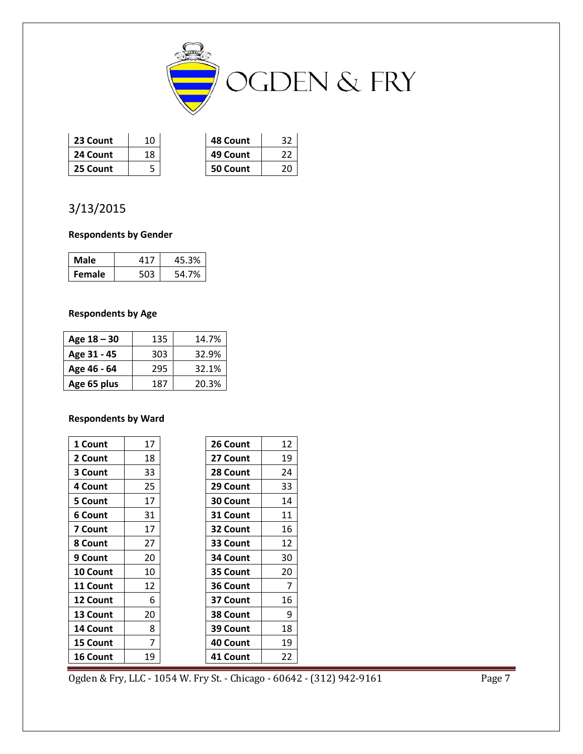

| 23 Count | 10 | 48 Count |  |
|----------|----|----------|--|
| 24 Count | 18 | 49 Count |  |
| 25 Count |    | 50 Count |  |

# 3/13/2015

#### **Respondents by Gender**

| Male          | $41^-$ | 45.3% |
|---------------|--------|-------|
| <b>Female</b> |        | 54.7% |

#### **Respondents by Age**

| Age 18 – 30 | 135 | 14.7% |
|-------------|-----|-------|
| Age 31 - 45 | 303 | 32.9% |
| Age 46 - 64 | 295 | 32.1% |
| Age 65 plus | 187 | 20.3% |

#### **Respondents by Ward**

| 1 Count  | 17 | 26 Count        | 12 |
|----------|----|-----------------|----|
| 2 Count  | 18 | 27 Count        | 19 |
| 3 Count  | 33 | 28 Count        | 24 |
| 4 Count  | 25 | 29 Count        | 33 |
| 5 Count  | 17 | <b>30 Count</b> | 14 |
| 6 Count  | 31 | 31 Count        | 11 |
| 7 Count  | 17 | 32 Count        | 16 |
| 8 Count  | 27 | 33 Count        | 12 |
| 9 Count  | 20 | 34 Count        | 30 |
| 10 Count | 10 | 35 Count        | 20 |
| 11 Count | 12 | 36 Count        | 7  |
| 12 Count | 6  | 37 Count        | 16 |
| 13 Count | 20 | 38 Count        | 9  |
| 14 Count | 8  | 39 Count        | 18 |
| 15 Count | 7  | 40 Count        | 19 |
| 16 Count | 19 | 41 Count        | 22 |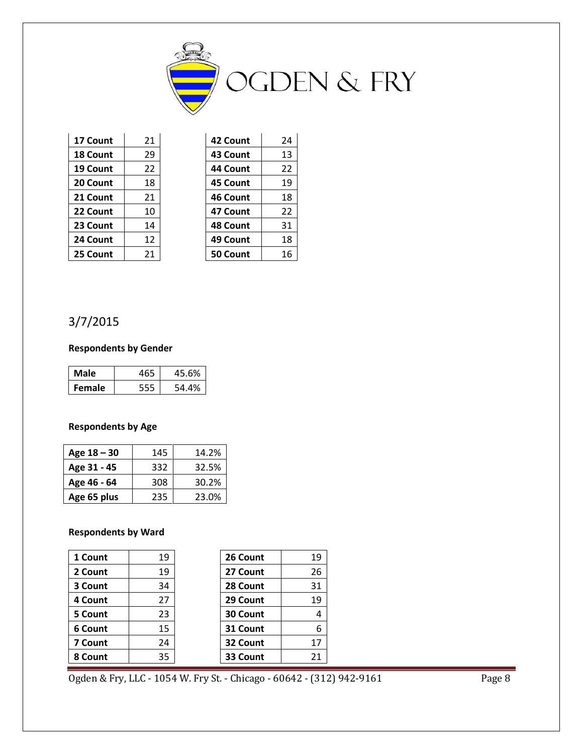

| 17 Count | 21 |
|----------|----|
| 18 Count | 29 |
| 19 Count | 22 |
| 20 Count | 18 |
| 21 Count | 21 |
| 22 Count | 10 |
| 23 Count | 14 |
| 24 Count | 12 |
| 25 Count | 21 |

| 21 | 42 Count | 24 |
|----|----------|----|
| 29 | 43 Count | 13 |
| 22 | 44 Count | 22 |
| 18 | 45 Count | 19 |
| 21 | 46 Count | 18 |
| 10 | 47 Count | 22 |
| 14 | 48 Count | 31 |
| 12 | 49 Count | 18 |
| 21 | 50 Count | 16 |
|    |          |    |

## 3/7/2015

#### **Respondents by Gender**

| Male          | 465 | 45.6% |
|---------------|-----|-------|
| <b>Female</b> |     | 54.4% |

#### **Respondents by Age**

| Age $18 - 30$ | 145 | 14.2% |
|---------------|-----|-------|
| Age 31 - 45   | 332 | 32.5% |
| Age 46 - 64   | 308 | 30.2% |
| Age 65 plus   | 235 | 23.0% |

#### **Respondents by Ward**

| 1 Count | 19 | 26 Count | 19 |
|---------|----|----------|----|
| 2 Count | 19 | 27 Count | 26 |
| 3 Count | 34 | 28 Count | 31 |
| 4 Count | 27 | 29 Count | 19 |
| 5 Count | 23 | 30 Count | 4  |
| 6 Count | 15 | 31 Count | 6  |
| 7 Count | 24 | 32 Count | 17 |
| 8 Count | 35 | 33 Count | 21 |

| 26 Count        | 19 |
|-----------------|----|
| 27 Count        | 26 |
| 28 Count        | 31 |
| 29 Count        | 19 |
| <b>30 Count</b> | 4  |
| 31 Count        | 6  |
| 32 Count        | 17 |
| 33 Count        | 21 |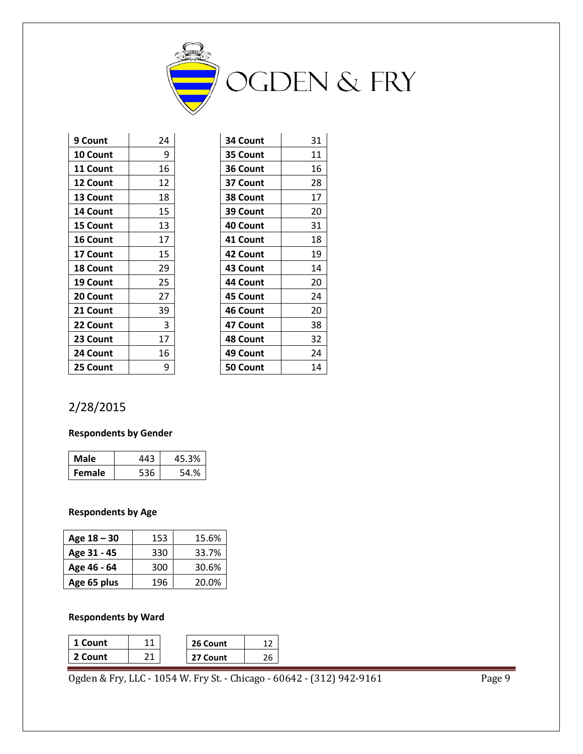

| 9 Count         | 24 | 34 Count | 31 |
|-----------------|----|----------|----|
| 10 Count        | 9  | 35 Count | 11 |
| 11 Count        | 16 | 36 Count | 16 |
| 12 Count        | 12 | 37 Count | 28 |
| 13 Count        | 18 | 38 Count | 17 |
| 14 Count        | 15 | 39 Count | 20 |
| 15 Count        | 13 | 40 Count | 31 |
| 16 Count        | 17 | 41 Count | 18 |
| 17 Count        | 15 | 42 Count | 19 |
| <b>18 Count</b> | 29 | 43 Count | 14 |
| 19 Count        | 25 | 44 Count | 20 |
| 20 Count        | 27 | 45 Count | 24 |
| 21 Count        | 39 | 46 Count | 20 |
| 22 Count        | 3  | 47 Count | 38 |
| 23 Count        | 17 | 48 Count | 32 |
| 24 Count        | 16 | 49 Count | 24 |
| 25 Count        | 9  | 50 Count | 14 |

| 31 |
|----|
| 11 |
| 16 |
| 28 |
| 17 |
| 20 |
| 31 |
| 18 |
| 19 |
| 14 |
| 20 |
| 24 |
| 20 |
| 38 |
| 32 |
| 24 |
| 14 |
|    |

# 2/28/2015

#### **Respondents by Gender**

| Male          | 443 | 45.3% |
|---------------|-----|-------|
| <b>Female</b> | 536 | 54.%  |

#### **Respondents by Age**

| Age $18 - 30$ | 153 | 15.6% |
|---------------|-----|-------|
| Age 31 - 45   | 330 | 33.7% |
| Age 46 - 64   | 300 | 30.6% |
| Age 65 plus   | 196 | 20.0% |

#### **Respondents by Ward**

| 1 Count | 26 Count |  |
|---------|----------|--|
| 2 Count | 27 Count |  |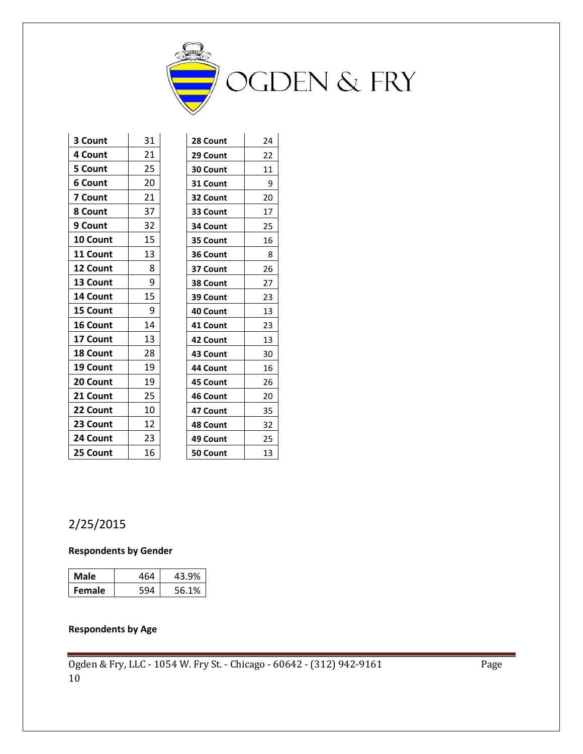

| 3 Count         | 31 | 28 Count        | 24 |
|-----------------|----|-----------------|----|
| 4 Count         | 21 | 29 Count        | 22 |
| <b>5 Count</b>  | 25 | 30 Count        | 11 |
| 6 Count         | 20 | 31 Count        | 9  |
| 7 Count         | 21 | 32 Count        | 20 |
| 8 Count         | 37 | 33 Count        | 17 |
| 9 Count         | 32 | 34 Count        | 25 |
| 10 Count        | 15 | 35 Count        | 16 |
| 11 Count        | 13 | 36 Count        | 8  |
| <b>12 Count</b> | 8  | 37 Count        | 26 |
| 13 Count        | 9  | 38 Count        | 27 |
| 14 Count        | 15 | 39 Count        | 23 |
| 15 Count        | 9  | 40 Count        | 13 |
| 16 Count        | 14 | 41 Count        | 23 |
| 17 Count        | 13 | 42 Count        | 13 |
| <b>18 Count</b> | 28 | 43 Count        | 30 |
| 19 Count        | 19 | 44 Count        | 16 |
| 20 Count        | 19 | <b>45 Count</b> | 26 |
| 21 Count        | 25 | 46 Count        | 20 |
| 22 Count        | 10 | 47 Count        | 35 |
| 23 Count        | 12 | 48 Count        | 32 |
| 24 Count        | 23 | 49 Count        | 25 |
| 25 Count        | 16 | 50 Count        | 13 |

# 2/25/2015

#### **Respondents by Gender**

| Male          | 464 | 43.9% |
|---------------|-----|-------|
| <b>Female</b> |     | 56.1% |

#### **Respondents by Age**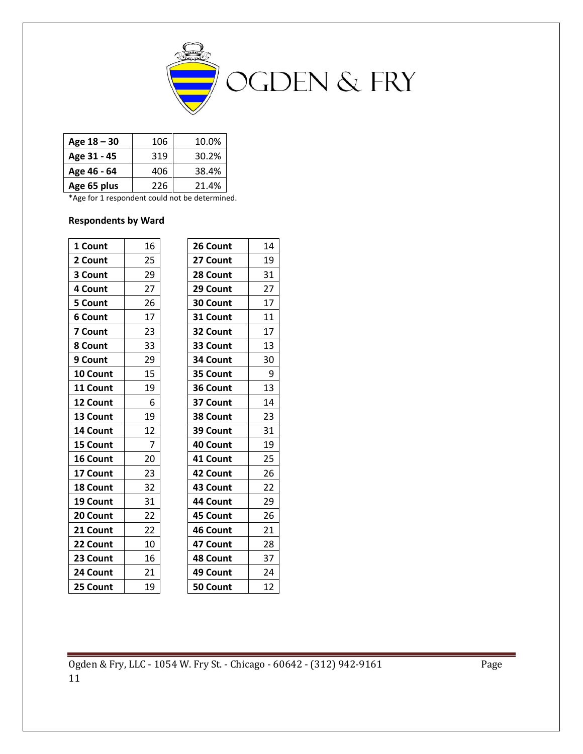

| Age 18 – 30 | 106 | 10.0% |
|-------------|-----|-------|
| Age 31 - 45 | 319 | 30.2% |
| Age 46 - 64 | 406 | 38.4% |
| Age 65 plus | 226 | 21.4% |

\*Age for 1 respondent could not be determined.

#### **Respondents by Ward**

| 1 Count  | 16             | 26 Count | 14 |
|----------|----------------|----------|----|
| 2 Count  | 25             | 27 Count | 19 |
| 3 Count  | 29             | 28 Count | 31 |
| 4 Count  | 27             | 29 Count | 27 |
| 5 Count  | 26             | 30 Count | 17 |
| 6 Count  | 17             | 31 Count | 11 |
| 7 Count  | 23             | 32 Count | 17 |
| 8 Count  | 33             | 33 Count | 13 |
| 9 Count  | 29             | 34 Count | 30 |
| 10 Count | 15             | 35 Count | 9  |
| 11 Count | 19             | 36 Count | 13 |
| 12 Count | 6              | 37 Count | 14 |
| 13 Count | 19             | 38 Count | 23 |
| 14 Count | 12             | 39 Count | 31 |
| 15 Count | $\overline{7}$ | 40 Count | 19 |
| 16 Count | 20             | 41 Count | 25 |
| 17 Count | 23             | 42 Count | 26 |
| 18 Count | 32             | 43 Count | 22 |
| 19 Count | 31             | 44 Count | 29 |
| 20 Count | 22             | 45 Count | 26 |
| 21 Count | 22             | 46 Count | 21 |
| 22 Count | 10             | 47 Count | 28 |
| 23 Count | 16             | 48 Count | 37 |
| 24 Count | 21             | 49 Count | 24 |
| 25 Count | 19             | 50 Count | 12 |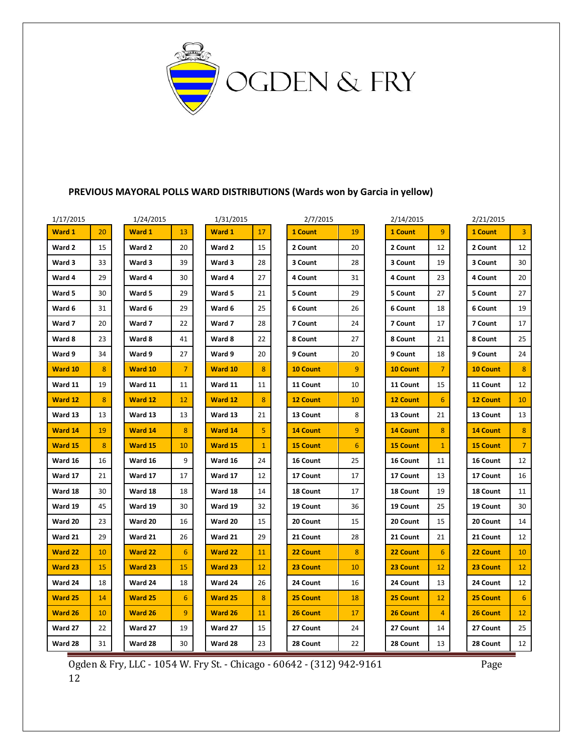

#### **PREVIOUS MAYORAL POLLS WARD DISTRIBUTIONS (Wards won by Garcia in yellow)**

| 1/17/2015 |    | 1/24/2015 |                | 1/31/2015      |              | 2/7/2015        |                | 2/14/2015       |                | 2/21/2015       |                |
|-----------|----|-----------|----------------|----------------|--------------|-----------------|----------------|-----------------|----------------|-----------------|----------------|
| Ward 1    | 20 | Ward 1    | 13             | Ward 1         | 17           | 1 Count         | 19             | 1 Count         | 9              | 1 Count         | 3              |
| Ward 2    | 15 | Ward 2    | 20             | Ward 2         | 15           | 2 Count         | 20             | 2 Count         | 12             | 2 Count         | 12             |
| Ward 3    | 33 | Ward 3    | 39             | Ward 3         | 28           | 3 Count         | 28             | 3 Count         | 19             | 3 Count         | 30             |
| Ward 4    | 29 | Ward 4    | 30             | Ward 4         | 27           | 4 Count         | 31             | 4 Count         | 23             | 4 Count         | 20             |
| Ward 5    | 30 | Ward 5    | 29             | Ward 5         | 21           | 5 Count         | 29             | 5 Count         | 27             | 5 Count         | 27             |
| Ward 6    | 31 | Ward 6    | 29             | Ward 6         | 25           | 6 Count         | 26             | 6 Count         | 18             | 6 Count         | 19             |
| Ward 7    | 20 | Ward 7    | 22             | Ward 7         | 28           | 7 Count         | 24             | 7 Count         | 17             | 7 Count         | 17             |
| Ward 8    | 23 | Ward 8    | 41             | Ward 8         | 22           | 8 Count         | 27             | 8 Count         | 21             | 8 Count         | 25             |
| Ward 9    | 34 | Ward 9    | 27             | Ward 9         | 20           | 9 Count         | 20             | 9 Count         | 18             | 9 Count         | 24             |
| Ward 10   | 8  | Ward 10   | $\overline{7}$ | Ward 10        | 8            | <b>10 Count</b> | $\overline{9}$ | <b>10 Count</b> | $\overline{7}$ | 10 Count        | 8              |
| Ward 11   | 19 | Ward 11   | 11             | Ward 11        | 11           | 11 Count        | 10             | 11 Count        | 15             | 11 Count        | 12             |
| Ward 12   | 8  | Ward 12   | 12             | Ward 12        | 8            | <b>12 Count</b> | 10             | <b>12 Count</b> | 6              | <b>12 Count</b> | 10             |
| Ward 13   | 13 | Ward 13   | 13             | Ward 13        | 21           | 13 Count        | 8              | 13 Count        | 21             | 13 Count        | 13             |
| Ward 14   | 19 | Ward 14   | 8              | Ward 14        | 5            | <b>14 Count</b> | 9              | <b>14 Count</b> | 8              | <b>14 Count</b> | 8              |
| Ward 15   | 8  | Ward 15   | 10             | Ward 15        | $\mathbf{1}$ | <b>15 Count</b> | 6              | <b>15 Count</b> | $\mathbf{1}$   | <b>15 Count</b> | $\overline{7}$ |
| Ward 16   | 16 | Ward 16   | 9              | Ward 16        | 24           | 16 Count        | 25             | 16 Count        | 11             | 16 Count        | 12             |
| Ward 17   | 21 | Ward 17   | 17             | Ward 17        | 12           | 17 Count        | 17             | 17 Count        | 13             | 17 Count        | 16             |
| Ward 18   | 30 | Ward 18   | 18             | Ward 18        | 14           | 18 Count        | 17             | 18 Count        | 19             | 18 Count        | 11             |
| Ward 19   | 45 | Ward 19   | 30             | Ward 19        | 32           | 19 Count        | 36             | 19 Count        | 25             | 19 Count        | 30             |
| Ward 20   | 23 | Ward 20   | 16             | Ward 20        | 15           | 20 Count        | 15             | 20 Count        | 15             | 20 Count        | 14             |
| Ward 21   | 29 | Ward 21   | 26             | Ward 21        | 29           | 21 Count        | 28             | 21 Count        | 21             | 21 Count        | 12             |
| Ward 22   | 10 | Ward 22   | 6              | <b>Ward 22</b> | 11           | 22 Count        | 8              | 22 Count        | 6              | 22 Count        | 10             |
| Ward 23   | 15 | Ward 23   | 15             | Ward 23        | 12           | 23 Count        | 10             | 23 Count        | 12             | 23 Count        | 12             |
| Ward 24   | 18 | Ward 24   | 18             | Ward 24        | 26           | 24 Count        | 16             | 24 Count        | 13             | 24 Count        | 12             |
| Ward 25   | 14 | Ward 25   | 6              | Ward 25        | 8            | 25 Count        | 18             | 25 Count        | 12             | 25 Count        | 6              |
| Ward 26   | 10 | Ward 26   | 9              | Ward 26        | 11           | 26 Count        | 17             | 26 Count        | 4              | 26 Count        | 12             |
| Ward 27   | 22 | Ward 27   | 19             | Ward 27        | 15           | 27 Count        | 24             | 27 Count        | 14             | 27 Count        | 25             |
| Ward 28   | 31 | Ward 28   | 30             | Ward 28        | 23           | 28 Count        | 22             | 28 Count        | 13             | 28 Count        | 12             |

Ogden & Fry, LLC - 1054 W. Fry St. - Chicago - 60642 - (312) 942-9161 Page

12